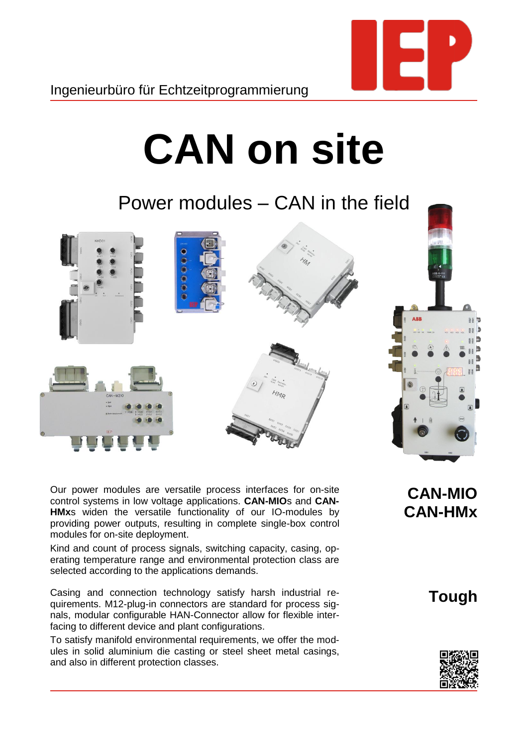

## **CAN on site**

Power modules – CAN in the field



Our power modules are versatile process interfaces for on-site control systems in low voltage applications. **CAN-MIO**s and **CAN-HMx**s widen the versatile functionality of our IO-modules by providing power outputs, resulting in complete single-box control modules for on-site deployment.

Kind and count of process signals, switching capacity, casing, operating temperature range and environmental protection class are selected according to the applications demands.

Casing and connection technology satisfy harsh industrial requirements. M12-plug-in connectors are standard for process signals, modular configurable HAN-Connector allow for flexible interfacing to different device and plant configurations.

To satisfy manifold environmental requirements, we offer the modules in solid aluminium die casting or steel sheet metal casings, and also in different protection classes.

**CAN-MIO CAN-HMx**